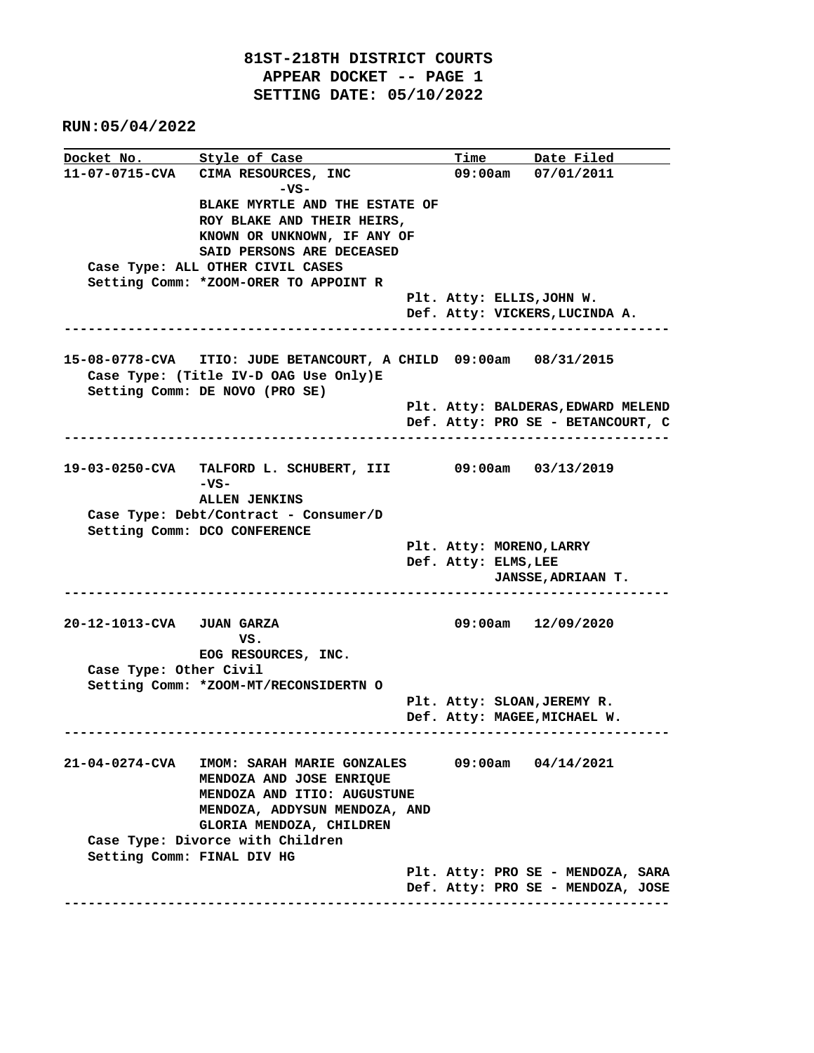**RUN:05/04/2022**

**Docket No. Style of Case Time Date Filed 11-07-0715-CVA CIMA RESOURCES, INC 09:00am 07/01/2011 -VS- BLAKE MYRTLE AND THE ESTATE OF ROY BLAKE AND THEIR HEIRS, KNOWN OR UNKNOWN, IF ANY OF SAID PERSONS ARE DECEASED Case Type: ALL OTHER CIVIL CASES Setting Comm: \*ZOOM-ORER TO APPOINT R Plt. Atty: ELLIS,JOHN W. Def. Atty: VICKERS,LUCINDA A. ---------------------------------------------------------------------------- 15-08-0778-CVA ITIO: JUDE BETANCOURT, A CHILD 09:00am 08/31/2015 Case Type: (Title IV-D OAG Use Only)E Setting Comm: DE NOVO (PRO SE) Plt. Atty: BALDERAS,EDWARD MELEND Def. Atty: PRO SE - BETANCOURT, C ---------------------------------------------------------------------------- 19-03-0250-CVA TALFORD L. SCHUBERT, III 09:00am 03/13/2019 -VS- ALLEN JENKINS Case Type: Debt/Contract - Consumer/D Setting Comm: DCO CONFERENCE Plt. Atty: MORENO,LARRY Def. Atty: ELMS,LEE JANSSE,ADRIAAN T. ---------------------------------------------------------------------------- 20-12-1013-CVA JUAN GARZA 09:00am 12/09/2020 VS. EOG RESOURCES, INC. Case Type: Other Civil Setting Comm: \*ZOOM-MT/RECONSIDERTN O Plt. Atty: SLOAN,JEREMY R. Def. Atty: MAGEE,MICHAEL W. ---------------------------------------------------------------------------- 21-04-0274-CVA IMOM: SARAH MARIE GONZALES 09:00am 04/14/2021 MENDOZA AND JOSE ENRIQUE MENDOZA AND ITIO: AUGUSTUNE MENDOZA, ADDYSUN MENDOZA, AND GLORIA MENDOZA, CHILDREN Case Type: Divorce with Children Setting Comm: FINAL DIV HG Plt. Atty: PRO SE - MENDOZA, SARA Def. Atty: PRO SE - MENDOZA, JOSE ----------------------------------------------------------------------------**